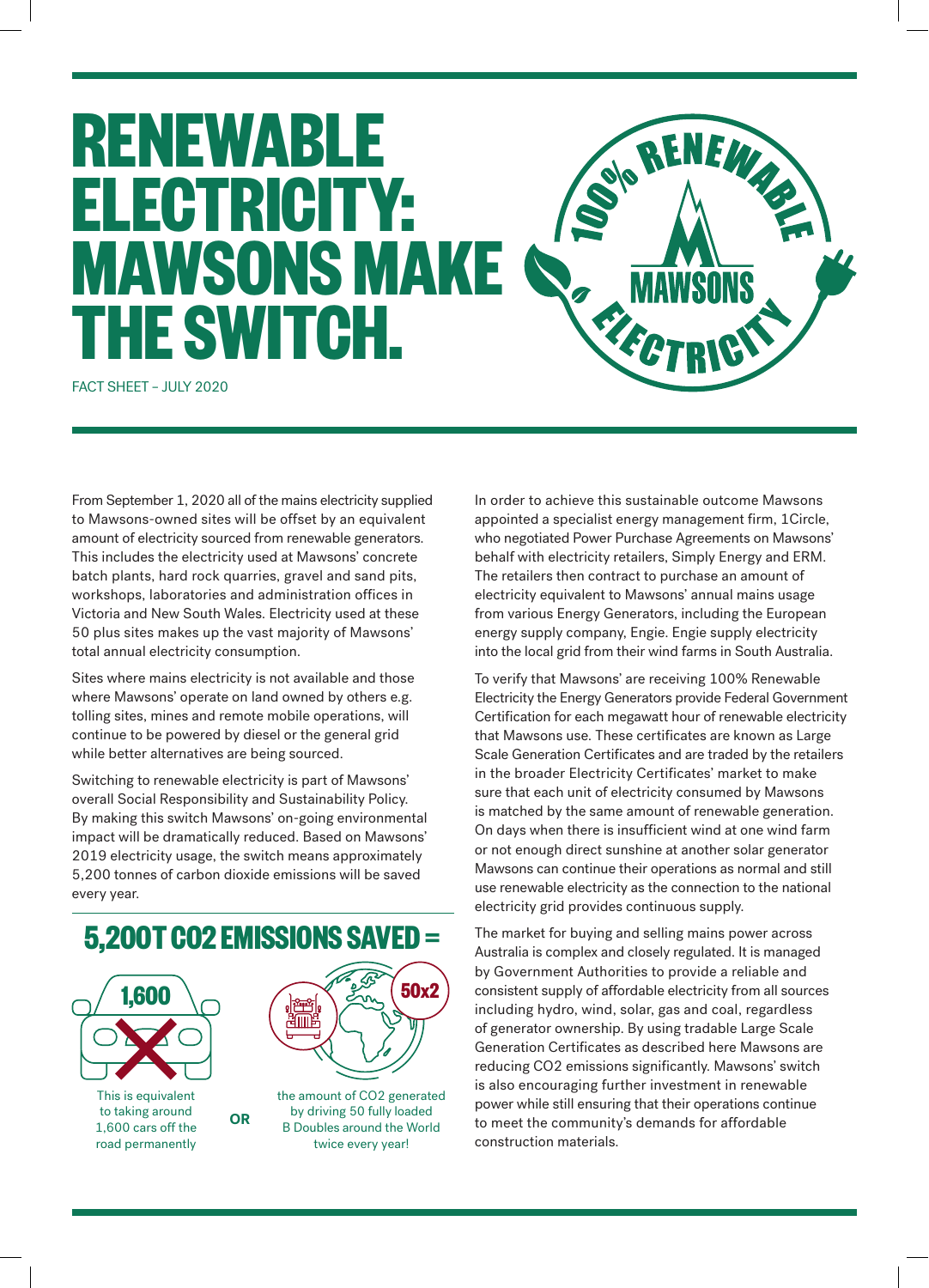## **RENEWABLE**  SO'S RENEWS **ELECTRICITY: SERVICE MAWSONS MAKE THE SWITCH.**

FACT SHEET – JULY 2020

From September 1, 2020 all of the mains electricity supplied to Mawsons-owned sites will be offset by an equivalent amount of electricity sourced from renewable generators. This includes the electricity used at Mawsons' concrete batch plants, hard rock quarries, gravel and sand pits, workshops, laboratories and administration offices in Victoria and New South Wales. Electricity used at these 50 plus sites makes up the vast majority of Mawsons' total annual electricity consumption.

Sites where mains electricity is not available and those where Mawsons' operate on land owned by others e.g. tolling sites, mines and remote mobile operations, will continue to be powered by diesel or the general grid while better alternatives are being sourced.

Switching to renewable electricity is part of Mawsons' overall Social Responsibility and Sustainability Policy. By making this switch Mawsons' on-going environmental impact will be dramatically reduced. Based on Mawsons' 2019 electricity usage, the switch means approximately 5,200 tonnes of carbon dioxide emissions will be saved every year.



road permanently

B Doubles around the World twice every year!

In order to achieve this sustainable outcome Mawsons appointed a specialist energy management firm, 1Circle, who negotiated Power Purchase Agreements on Mawsons' behalf with electricity retailers, Simply Energy and ERM. The retailers then contract to purchase an amount of electricity equivalent to Mawsons' annual mains usage from various Energy Generators, including the European energy supply company, Engie. Engie supply electricity into the local grid from their wind farms in South Australia.

To verify that Mawsons' are receiving 100% Renewable Electricity the Energy Generators provide Federal Government Certification for each megawatt hour of renewable electricity that Mawsons use. These certificates are known as Large Scale Generation Certificates and are traded by the retailers in the broader Electricity Certificates' market to make sure that each unit of electricity consumed by Mawsons is matched by the same amount of renewable generation. On days when there is insufficient wind at one wind farm or not enough direct sunshine at another solar generator Mawsons can continue their operations as normal and still use renewable electricity as the connection to the national electricity grid provides continuous supply.

The market for buying and selling mains power across Australia is complex and closely regulated. It is managed by Government Authorities to provide a reliable and consistent supply of affordable electricity from all sources including hydro, wind, solar, gas and coal, regardless of generator ownership. By using tradable Large Scale Generation Certificates as described here Mawsons are reducing CO2 emissions significantly. Mawsons' switch is also encouraging further investment in renewable power while still ensuring that their operations continue to meet the community's demands for affordable construction materials.